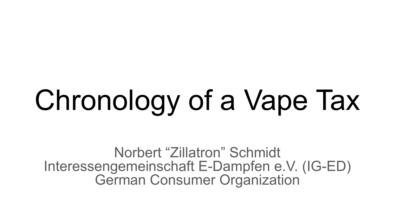# Chronology of a Vape Tax

Norbert "Zillatron" Schmidt Interessengemeinschaft E-Dampfen e.V. (IG-ED) German Consumer Organization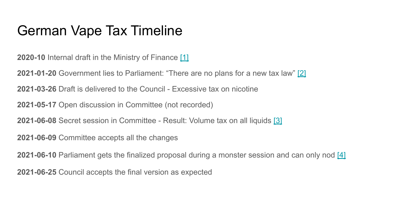### German Vape Tax Timeline

**2020-10** Internal draft in the Ministry of Finance [\[1\]](https://www.egarage.de/steuer-auf-e-zigaretten-kommt-doch/)

**2021-01-20** Government lies to Parliament: "There are no plans for a new tax law" [\[2\]](https://dserver.bundestag.de/btd/19/260/1926014.pdf)

**2021-03-26** Draft is delivered to the Council - Excessive tax on nicotine

**2021-05-17** Open discussion in Committee (not recorded)

**2021-06-08** Secret session in Committee - Result: Volume tax on all liquids [\[3\]](https://dserver.bundestag.de/btd/19/304/1930490.pdf)

**2021-06-09** Committee accepts all the changes

**2021-06-10** Parliament gets the finalized proposal during a monster session and can only nod [\[4\]](https://dserver.bundestag.de/btp/19/19233.pdf)

**2021-06-25** Council accepts the final version as expected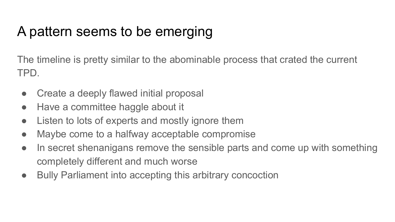### A pattern seems to be emerging

The timeline is pretty similar to the abominable process that crated the current TPD.

- Create a deeply flawed initial proposal
- Have a committee haggle about it
- Listen to lots of experts and mostly ignore them
- Maybe come to a halfway acceptable compromise
- In secret shenanigans remove the sensible parts and come up with something completely different and much worse
- Bully Parliament into accepting this arbitrary concoction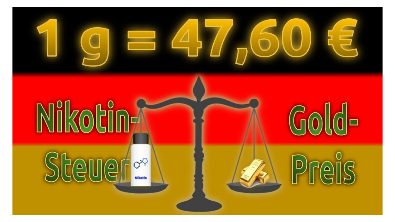

# Nikotin-

## Steuer  $O^{12}$



# Preis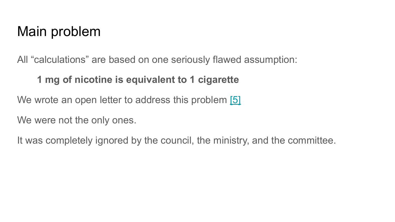#### Main problem

All "calculations" are based on one seriously flawed assumption:

#### **1 mg of nicotine is equivalent to 1 cigarette**

We wrote an open letter to address this problem [\[5\]](https://ig-ed.org/2021/04/offener-brief-steuerirrsinn/)

We were not the only ones.

It was completely ignored by the council, the ministry, and the committee.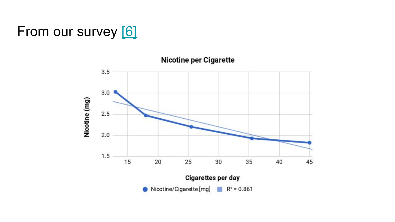#### From our survey [\[6\]](https://ig-ed.org/2018/06/gfn18-poster/#6a_Nicotine_per_Cigarette)



**Nicotine per Cigarette**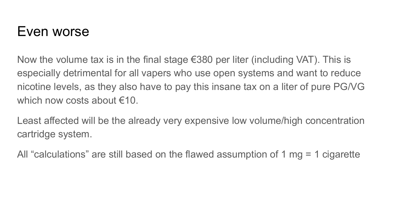#### Even worse

Now the volume tax is in the final stage  $\epsilon$ 380 per liter (including VAT). This is especially detrimental for all vapers who use open systems and want to reduce nicotine levels, as they also have to pay this insane tax on a liter of pure PG/VG which now costs about  $f(10)$ 

Least affected will be the already very expensive low volume/high concentration cartridge system.

All "calculations" are still based on the flawed assumption of 1 mg = 1 cigarette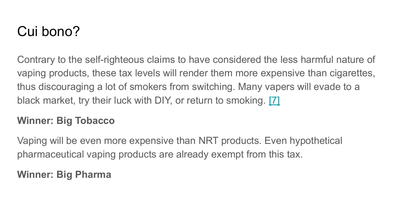### Cui bono?

Contrary to the self-righteous claims to have considered the less harmful nature of vaping products, these tax levels will render them more expensive than cigarettes, thus discouraging a lot of smokers from switching. Many vapers will evade to a black market, try their luck with DIY, or return to smoking. [\[7\]](https://ethra.co/images/Report_ETHRA_Survey_2020_EN.pdf)

#### **Winner: Big Tobacco**

Vaping will be even more expensive than NRT products. Even hypothetical pharmaceutical vaping products are already exempt from this tax.

#### **Winner: Big Pharma**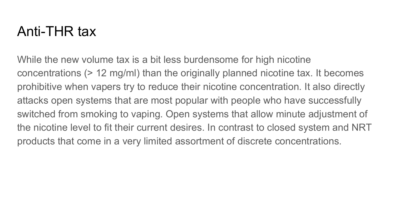#### Anti-THR tax

While the new volume tax is a bit less burdensome for high nicotine concentrations (> 12 mg/ml) than the originally planned nicotine tax. It becomes prohibitive when vapers try to reduce their nicotine concentration. It also directly attacks open systems that are most popular with people who have successfully switched from smoking to vaping. Open systems that allow minute adjustment of the nicotine level to fit their current desires. In contrast to closed system and NRT products that come in a very limited assortment of discrete concentrations.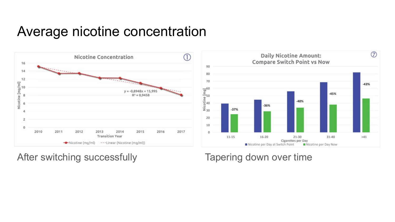#### Average nicotine concentration



After switching successfully Tapering down over time

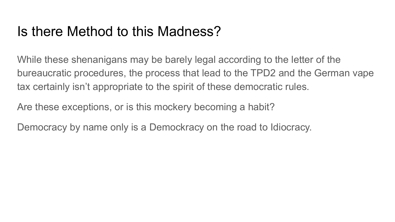#### Is there Method to this Madness?

While these shenanigans may be barely legal according to the letter of the bureaucratic procedures, the process that lead to the TPD2 and the German vape tax certainly isn't appropriate to the spirit of these democratic rules.

Are these exceptions, or is this mockery becoming a habit?

Democracy by name only is a Demockracy on the road to Idiocracy.